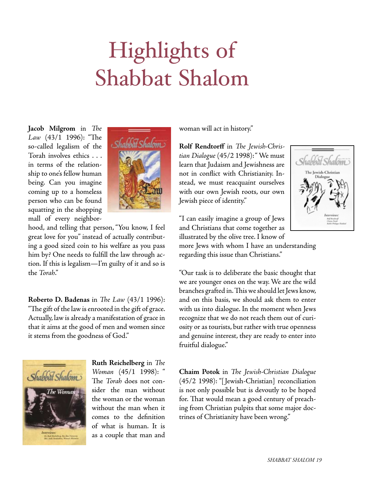## Highlights of Shabbat Shalom

**Jacob Milgrom** in *The Law* (43/1 1996): "The so-called legalism of the Torah involves ethics . . . in terms of the relationship to one's fellow human being. Can you imagine coming up to a homeless person who can be found squatting in the shopping mall of every neighbor-



hood, and telling that person, "You know, I feel great love for you" instead of actually contributing a good sized coin to his welfare as you pass him by? One needs to fulfill the law through action. If this is legalism—I'm guilty of it and so is the *Torah*."

**Roberto D. Badenas** in *The Law* (43/1 1996): "The gift of thelawisenrooted in the gift of grace. Actually, law is already a manifestation of grace in that it aims at the good of men and women since it stems from the goodness of God."



**Ruth Reichelberg** in *The Woman* (45/1 1998): " The *Torah* does not consider the man without the woman or the woman without the man when it comes to the definition of what is human. It is as a couple that man and

woman will act in history."

**Rolf Rendtorff** in *The Jewish-Christian Dialogue* (45/2 1998):" We must learn that Judaism and Jewishness are not in conflict with Christianity. Instead, we must reacquaint ourselves with our own Jewish roots, our own Jewish piece of identity."



"I can easily imagine a group of Jews and Christians that come together as illustrated by the olive tree. I know of

more Jews with whom I have an understanding regarding this issue than Christians."

"Our task is to deliberate the basic thought that we are younger ones on the way.We are the wild branches grafted in. This we should let Jews know, and on this basis, we should ask them to enter with us into dialogue. In the moment when Jews recognize that we do not reach them out of curiosity or as tourists, but rather with true openness and genuine interest, they are ready to enter into fruitful dialogue."

**Chaim Potok** in *The Jewish-Christian Dialogue*  (45/2 1998): "[ Jewish-Christian] reconciliation is not only possible but is devoutly to be hoped for. That would mean a good century of preaching from Christian pulpits that some major doctrines of Christianity have been wrong."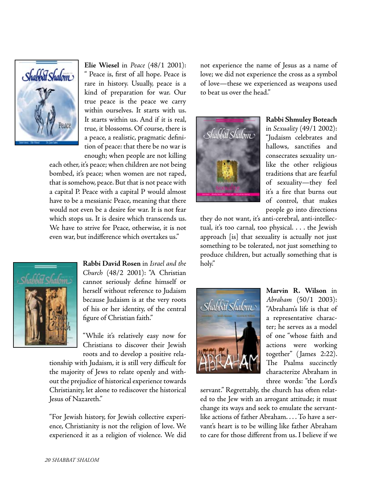

**Elie Wiesel** in *Peace* (48/1 2001): " Peace is, first of all hope. Peace is rare in history. Usually, peace is a kind of preparation for war. Our true peace is the peace we carry within ourselves. It starts with us. It starts within us. And if it is real, true, it blossoms. Of course, there is a peace, a realistic, pragmatic definition of peace: that there be no war is enough; when people are not killing

each other, it's peace; when children are not being bombed, it's peace; when women are not raped, that is somehow, peace. But that is not peace with a capital P. Peace with a capital P would almost have to be a messianic Peace, meaning that there would not even be a desire for war. It is not fear which stops us. It is desire which transcends us. We have to strive for Peace, otherwise, it is not even war, but indifference which overtakes us."



**Rabbi David Rosen** in *Israel and the Church* (48/2 2001): "A Christian cannot seriously define himself or herself without reference to Judaism because Judaism is at the very roots of his or her identity, of the central figure of Christian faith."

"While it's relatively easy now for Christians to discover their Jewish roots and to develop a positive rela-

tionship with Judaism, it is still very difficult for the majority of Jews to relate openly and without the prejudice of historical experience towards Christianity, let alone to rediscover the historical Jesus of Nazareth."

"For Jewish history, for Jewish collective experience, Christianity is not the religion of love. We experienced it as a religion of violence. We did not experience the name of Jesus as a name of love; we did not experience the cross as a symbol of love—these we experienced as weapons used to beat us over the head."



**Rabbi Shmuley Boteach** in *Sexuality* (49/1 2002): "Judaism celebrates and hallows, sanctifies and consecrates sexuality unlike the other religious traditions that are fearful of sexuality—they feel it's a fire that burns out of control, that makes people go into directions

they do not want, it's anti-cerebral, anti-intellectual, it's too carnal, too physical. . . . the Jewish approach [is] that sexuality is actually not just something to be tolerated, not just something to produce children, but actually something that is holy."



**Marvin R. Wilson** in *Abraham* (50/1 2003): "Abraham's life is that of a representative character; he serves as a model of one "whose faith and actions were working together" ( James 2:22). The Psalms succinctly characterize Abraham in three words: "the Lord's

servant." Regrettably, the church has often related to the Jew with an arrogant attitude; it must change its ways and seek to emulate the servantlike actions of father Abraham. . . . To have a servant's heart is to be willing like father Abraham to care for those different from us. I believe if we